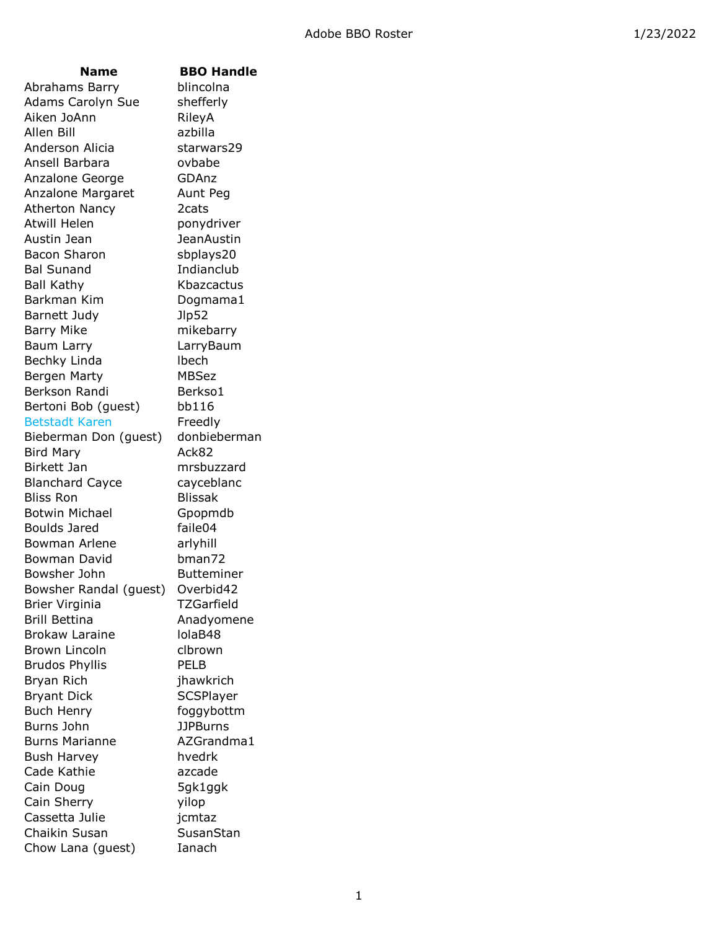### **Name BBO Handle**

Abrahams Barry blincolna Adams Carolyn Sue shefferly Aiken JoAnn RileyA Allen Bill azbilla Anderson Alicia starwars29 Ansell Barbara ovbabe Anzalone George **GDAnz** Anzalone Margaret Aunt Peg Atherton Nancy 2cats Atwill Helen ponydriver Austin Jean JeanAustin Bacon Sharon sbplays20 Bal Sunand Indianclub Ball Kathy Kbazcactus Barkman Kim Dogmama1 Barnett Judy Jlp52 Barry Mike mikebarry Baum Larry LarryBaum Bechky Linda lbech Bergen Marty MBSez Berkson Randi Berkso1 Bertoni Bob (guest) bb116 Betstadt Karen Freedly Bieberman Don (guest) donbieberman Bird Mary **Ack82** Birkett Jan mrsbuzzard Blanchard Cayce cayceblanc Bliss Ron Blissak Botwin Michael Gpopmdb Boulds Jared faile04 Bowman Arlene arlyhill Bowman David bman72 Bowsher John Butteminer Bowsher Randal (guest) Overbid42 Brier Virginia TZGarfield Brill Bettina **Anadyomene** Brokaw Laraine lolaB48 Brown Lincoln clbrown Brudos Phyllis PELB Bryan Rich jhawkrich Bryant Dick SCSPlayer Buch Henry foggybottm Burns John JJPBurns Burns Marianne AZGrandma1 Bush Harvey hvedrk Cade Kathie azcade Cain Doug 5gk1ggk Cain Sherry yilop Cassetta Julie jcmtaz Chaikin Susan SusanStan Chow Lana (guest) Ianach

1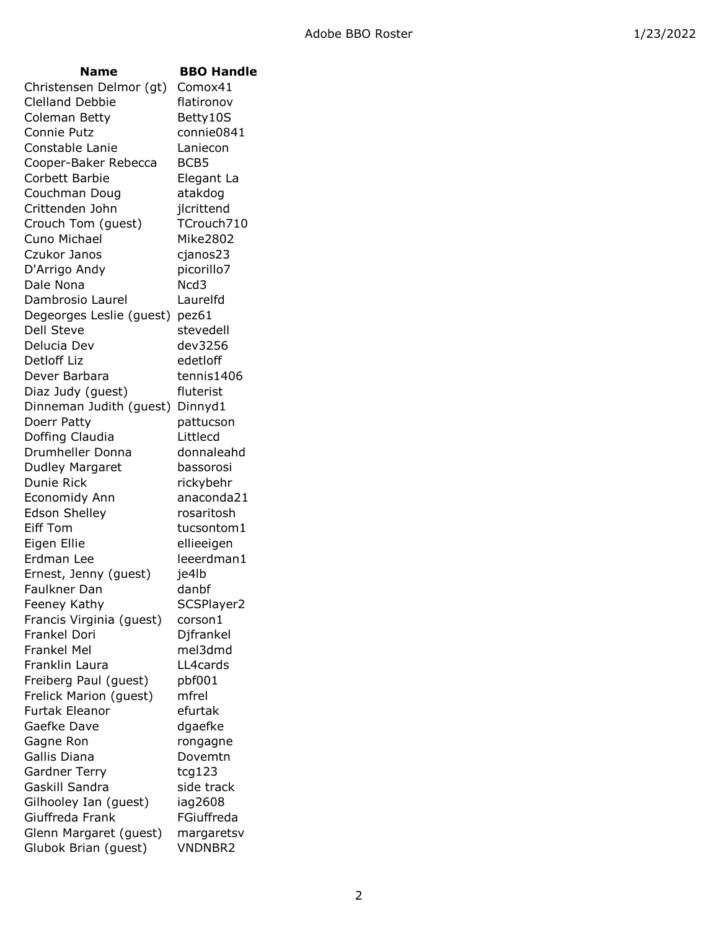| Name                     | <b>BBO Handle</b> |
|--------------------------|-------------------|
| Christensen Delmor (gt)  | Comox41           |
| <b>Clelland Debbie</b>   | flatironov        |
| Coleman Betty            | Betty10S          |
| Connie Putz              | connie0841        |
| Constable Lanie          | Laniecon          |
| Cooper-Baker Rebecca     | BCB5              |
| Corbett Barbie           | Elegant La        |
| Couchman Doug            | atakdog           |
| Crittenden John          | jlcrittend        |
| Crouch Tom (guest)       | TCrouch710        |
| Cuno Michael             | Mike2802          |
| Czukor Janos             | cjanos23          |
| D'Arrigo Andy            | picorillo7        |
| Dale Nona                | Ncd3              |
| Dambrosio Laurel         | Laurelfd          |
|                          |                   |
| Degeorges Leslie (guest) | pez61             |
| <b>Dell Steve</b>        | stevedell         |
| Delucia Dev              | dev3256           |
| Detloff Liz              | edetloff          |
| Dever Barbara            | tennis1406        |
| Diaz Judy (guest)        | fluterist         |
| Dinneman Judith (guest)  | Dinnyd1           |
| Doerr Patty              | pattucson         |
| Doffing Claudia          | Littlecd          |
| Drumheller Donna         | donnaleahd        |
| Dudley Margaret          | bassorosi         |
| Dunie Rick               | rickybehr         |
| Economidy Ann            | anaconda21        |
| <b>Edson Shelley</b>     | rosaritosh        |
| <b>Eiff Tom</b>          | tucsontom1        |
| Eigen Ellie              | ellieeigen        |
| Erdman Lee               | leeerdman1        |
| Ernest, Jenny (guest)    | je4lb             |
| Faulkner Dan-            | danbf             |
| Feeney Kathy             | SCSPlayer2        |
| Francis Virginia (guest) | corson1           |
| Frankel Dori             | Djfrankel         |
| <b>Frankel Mel</b>       | mel3dmd           |
| Franklin Laura           | LL4cards          |
| Freiberg Paul (guest)    | pbf001            |
| Frelick Marion (guest)   | mfrel             |
| Furtak Eleanor           | efurtak           |
| Gaefke Dave              | dgaefke           |
| Gagne Ron                | rongagne          |
| Gallis Diana             | Dovemtn           |
| <b>Gardner Terry</b>     | tcg123            |
| Gaskill Sandra           | side track        |
| Gilhooley Ian (guest)    | iag2608           |
| Giuffreda Frank          | FGiuffreda        |
| Glenn Margaret (guest)   | margaretsv        |
| Glubok Brian (guest)     | <b>VNDNBR2</b>    |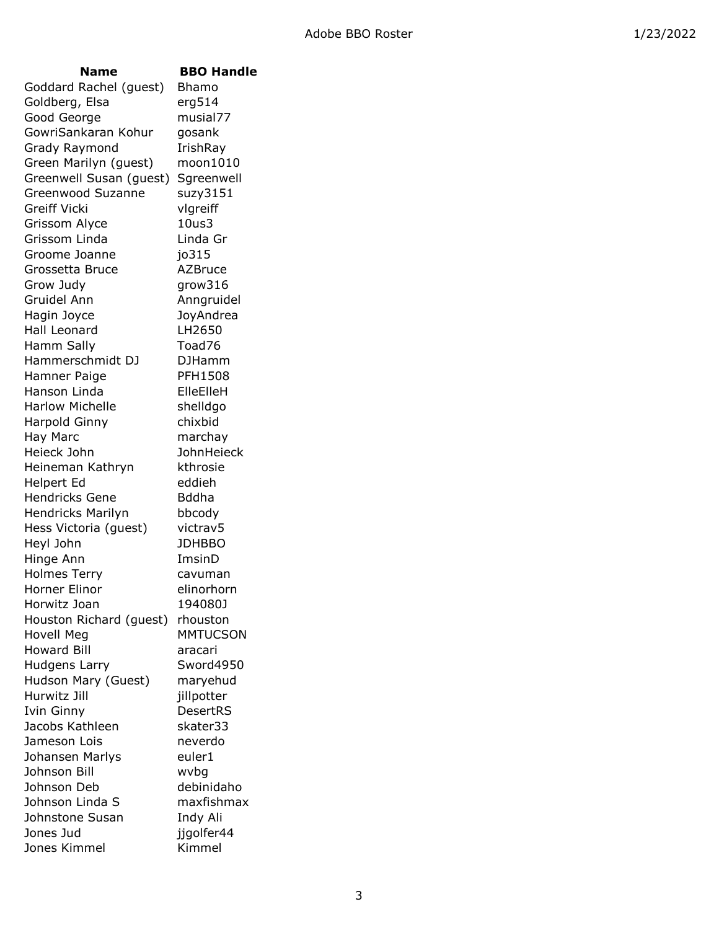| <b>Name</b>                      | <b>BBO Handle</b>    |
|----------------------------------|----------------------|
| Goddard Rachel (guest)           | Bhamo                |
| Goldberg, Elsa                   | erg514               |
| Good George                      | musial77             |
| GowriSankaran Kohur              | gosank               |
| Grady Raymond                    | IrishRay             |
| Green Marilyn (guest)            | moon1010             |
| Greenwell Susan (guest)          | Sgreenwell           |
| Greenwood Suzanne                | suzy3151             |
| Greiff Vicki                     | vlgreiff             |
| Grissom Alyce                    | 10us3                |
| Grissom Linda                    | Linda Gr             |
| Groome Joanne                    | jo315                |
| Grossetta Bruce                  | <b>AZBruce</b>       |
| Grow Judy                        | grow316              |
| Gruidel Ann                      | Anngruidel           |
| Hagin Joyce                      | JoyAndrea            |
| Hall Leonard                     | LH2650               |
| Hamm Sally                       | Toad76               |
| Hammerschmidt DJ                 | <b>DJHamm</b>        |
| Hamner Paige                     | PFH1508              |
| Hanson Linda                     | ElleElleH            |
| <b>Harlow Michelle</b>           | shelldgo             |
| Harpold Ginny                    | chixbid              |
| Hay Marc                         | marchay              |
| Heieck John                      | JohnHeieck           |
| Heineman Kathryn                 | kthrosie             |
| Helpert Ed                       | eddieh               |
| <b>Hendricks Gene</b>            | <b>Bddha</b>         |
| <b>Hendricks Marilyn</b>         | bbcody               |
| Hess Victoria (guest)            | victrav5             |
| Heyl John                        | <b>JDHBBO</b>        |
| Hinge Ann                        | ImsinD               |
| <b>Holmes Terry</b>              | cavuman              |
| Horner Elinor                    | elinorhorn           |
| Horwitz Joan                     | 194080J              |
| Houston Richard (guest)          | rhouston             |
| Hovell Meg<br><b>Howard Bill</b> | <b>MMTUCSON</b>      |
| <b>Hudgens Larry</b>             | aracari<br>Sword4950 |
| Hudson Mary (Guest)              | maryehud             |
| Hurwitz Jill                     | jillpotter           |
| Ivin Ginny                       | DesertRS             |
| Jacobs Kathleen                  | skater33             |
| Jameson Lois                     | neverdo              |
| Johansen Marlys                  | euler1               |
| Johnson Bill                     | wvbg                 |
| Johnson Deb                      | debinidaho           |
| Johnson Linda S                  | maxfishmax           |
| Johnstone Susan                  | Indy Ali             |
| Jones Jud                        | jjgolfer44           |
| Jones Kimmel                     | Kimmel               |
|                                  |                      |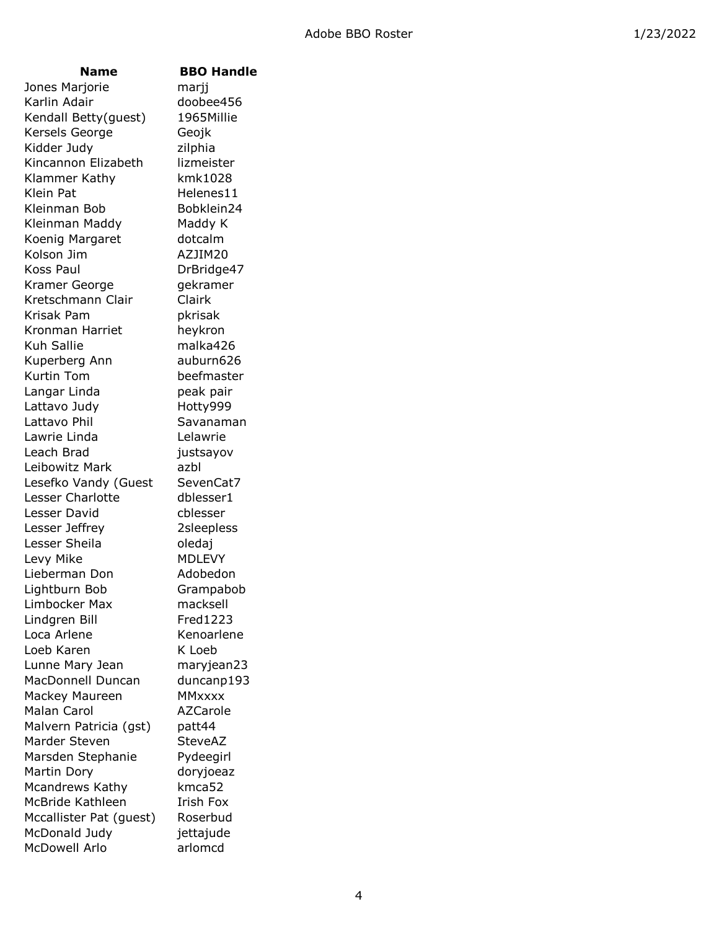# **Name BBO Handle**

Jones Marjorie marjj Karlin Adair doobee456 Kendall Betty(guest) 1965Millie Kersels George Geojk Kidder Judy zilphia Kincannon Elizabeth lizmeister Klammer Kathy kmk1028 Klein Pat Helenes11 Kleinman Bob Bobklein24 Kleinman Maddy Maddy K Koenig Margaret dotcalm Kolson Jim AZJIM20 Koss Paul DrBridge47 Kramer George gekramer Kretschmann Clair Clairk Krisak Pam pkrisak Kronman Harriet heykron Kuh Sallie malka426 Kuperberg Ann auburn626 Kurtin Tom beefmaster Langar Linda **peak pair** Lattavo Judy Hotty999 Lattavo Phil Savanaman Lawrie Linda Lelawrie Leach Brad justsayov Leibowitz Mark azbl Lesefko Vandy (Guest SevenCat7 Lesser Charlotte **dblesser1** Lesser David cblesser Lesser Jeffrey 2sleepless Lesser Sheila **baraca da coledaj** Levy Mike MDLEVY Lieberman Don Adobedon Lightburn Bob Grampabob Limbocker Max macksell Lindgren Bill Fred1223 Loca Arlene Kenoarlene Loeb Karen K Loeb Lunne Mary Jean maryjean23 MacDonnell Duncan duncanp193 Mackey Maureen MMxxxx Malan Carol **AZCarole** Malvern Patricia (gst) patt44 Marder Steven SteveAZ Marsden Stephanie Pydeegirl Martin Dory doryjoeaz Mcandrews Kathy kmca52 McBride Kathleen Irish Fox Mccallister Pat (guest) Roserbud McDonald Judy **iettajude** McDowell Arlo arlomcd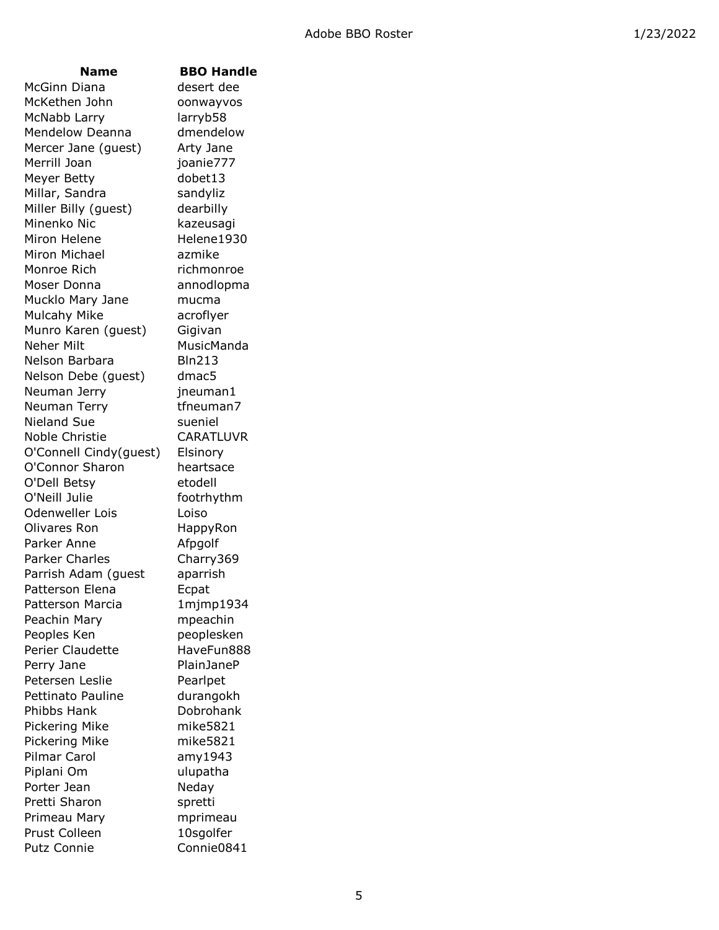McGinn Diana desert dee McKethen John oonwayvos McNabb Larry larryb58 Mendelow Deanna dmendelow Mercer Jane (guest) Arty Jane Merrill Joan ioanie777 Meyer Betty dobet13 Millar, Sandra Sandyliz Miller Billy (quest) dearbilly Minenko Nic kazeusagi Miron Helene Helene1930 Miron Michael **azmike** Monroe Rich richmonroe Moser Donna annodlopma Mucklo Mary Jane mucma Mulcahy Mike acroflyer Munro Karen (guest) Gigivan Neher Milt MusicManda Nelson Barbara Bln213 Nelson Debe (quest) dmac5 Neuman Jerry **jneuman1** Neuman Terry tfneuman7 Nieland Sue sueniel Noble Christie CARATLUVR O'Connell Cindy(guest) Elsinory O'Connor Sharon heartsace O'Dell Betsy etodell O'Neill Julie footrhythm Odenweller Lois and Loiso Olivares Ron HappyRon Parker Anne **Afpgolf** Parker Charles Charry369 Parrish Adam (guest aparrish Patterson Elena **Ecpat** Patterson Marcia 1mjmp1934 Peachin Mary **mpeachin** Peoples Ken peoplesken Perier Claudette HaveFun888 Perry Jane PlainJaneP Petersen Leslie Pearlpet Pettinato Pauline durangokh Phibbs Hank Dobrohank Pickering Mike mike5821 Pickering Mike mike5821 Pilmar Carol amy1943 Piplani Om vilupatha Porter Jean Neday Pretti Sharon spretti Primeau Mary mprimeau Prust Colleen 10sqolfer Putz Connie Connie0841

### **Name BBO Handle**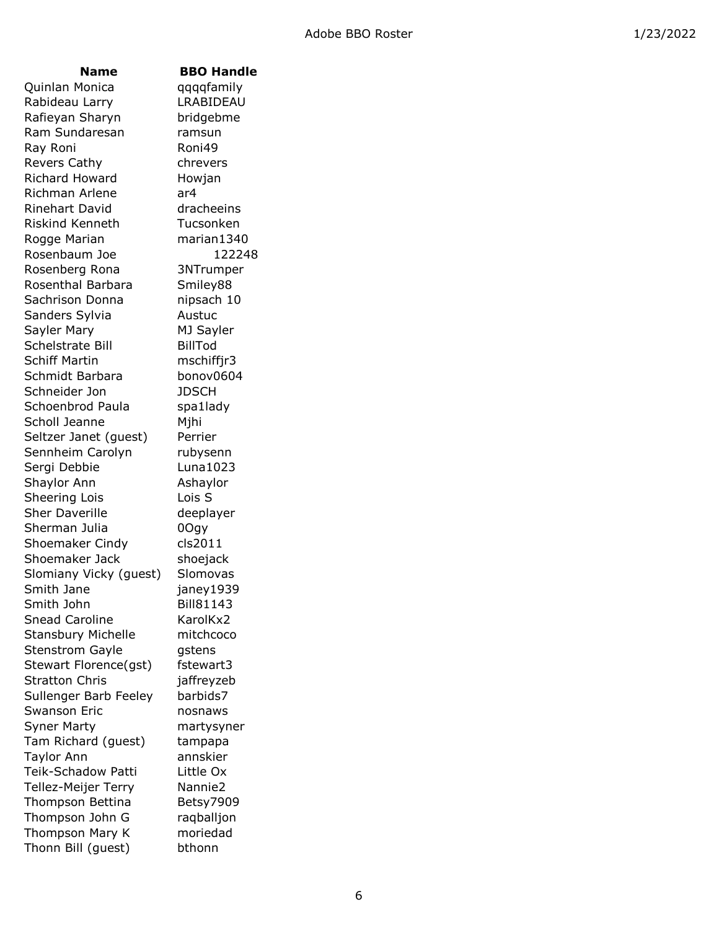Quinlan Monica qqqqfamily Rabideau Larry LRABIDEAU Rafieyan Sharyn bridgebme Ram Sundaresan mamsun Ray Roni Roni49 Revers Cathy chrevers Richard Howard Howjan Richman Arlene ar4 Rinehart David dracheeins Riskind Kenneth Tucsonken Rogge Marian marian1340 Rosenbaum Joe 122248 Rosenberg Rona 3NTrumper Rosenthal Barbara Smiley88 Sachrison Donna **nipsach** 10 Sanders Sylvia **Austuc** Sayler Mary MJ Sayler Schelstrate Bill BillTod Schiff Martin mschiffjr3 Schmidt Barbara bonov0604 Schneider Jon JDSCH Schoenbrod Paula spa1lady Scholl Jeanne Mihi Seltzer Janet (guest) Perrier Sennheim Carolyn rubysenn Sergi Debbie Luna1023 Shaylor Ann **Ashaylor** Sheering Lois Lois S Sher Daverille deeplayer Sherman Julia **0Ogy** Shoemaker Cindy cls2011 Shoemaker Jack shoejack Slomiany Vicky (guest) Slomovas Smith Jane ianey1939 Smith John Bill81143 Snead Caroline KarolKx2 Stansbury Michelle mitchcoco Stenstrom Gayle gstens Stewart Florence(gst) fstewart3 Stratton Chris **iaffreyzeb** Sullenger Barb Feeley barbids7 Swanson Eric nosnaws Syner Marty martysyner Tam Richard (guest) tampapa Taylor Ann annskier Teik-Schadow Patti Little Ox Tellez-Meijer Terry Nannie2 Thompson Bettina Betsy7909 Thompson John G raqballjon Thompson Mary K moriedad Thonn Bill (guest) bthonn

## **Name BBO Handle**